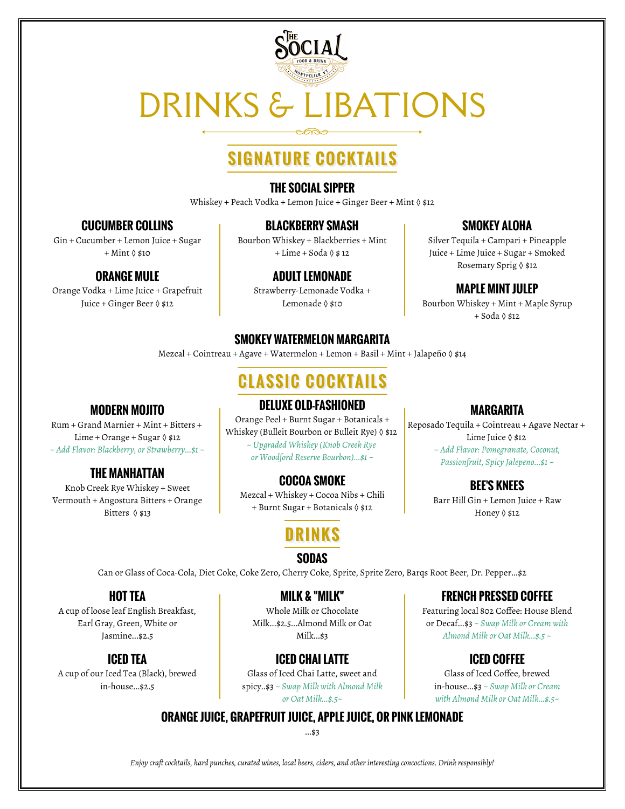

# DRINKS & LIBATIONS

## **SIGNATURE COCKTAILS**

### **THE SOCIAL SIPPER**

Whiskey + Peach Vodka + Lemon Juice + Ginger Beer + Mint  $\Diamond$  \$12

### **CUCUMBER COLLINS**

Gin + Cucumber + Lemon Juice + Sugar + Mint ◊ \$10

## **ORANGE MULE**

Orange Vodka + Lime Juice + Grapefruit Juice + Ginger Beer ◊ \$12

**MODERN MOJITO** Rum + Grand Marnier + Mint + Bitters + Lime + Orange + Sugar  $\Diamond$  \$12 *~ Add Flavor: Blackberry, or Strawberry...\$1 ~*

**THE MANHATTAN** Knob Creek Rye Whiskey + Sweet Vermouth + Angostura Bitters + Orange Bitters ◊ \$13

### **BLACKBERRY SMASH**

Bourbon Whiskey + Blackberries + Mint + Lime + Soda ◊ \$ 12

### **ADULT LEMONADE**

Strawberry-Lemonade Vodka + Lemonade ◊ \$10

## **SMOKEY WATERMELON MARGARITA**

Mezcal + Cointreau + Agave + Watermelon + Lemon + Basil + Mint + Jalapeño ◊ \$14

## **CLASSIC COCKTAILS**

## **DELUXE OLD-FASHIONED**

Orange Peel + Burnt Sugar + Botanicals + Whiskey (Bulleit Bourbon or Bulleit Rye) ◊ \$12 *~ Upgraded Whiskey (Knob Creek Rye or Woodford Reserve Bourbon)...\$1 ~*

## **COCOA SMOKE**

Mezcal + Whiskey + Cocoa Nibs + Chili + Burnt Sugar + Botanicals ◊ \$12

## **DRINKS**

## **SODAS**

Can or Glass of Coca-Cola, Diet Coke, Coke Zero, Cherry Coke, Sprite, Sprite Zero, Barqs Root Beer, Dr. Pepper...\$2

## **HOT TEA**

A cup of loose leaf English Breakfast, Earl Gray, Green, White or Jasmine...\$2.5

## **ICED TEA**

A cup of our Iced Tea (Black), brewed in-house...\$2.5

### **MILK & "MILK"**

Whole Milk or Chocolate Milk...\$2.5...Almond Milk or Oat Milk...\$3

## **ICED CHAI LATTE**

Glass of Iced Chai Latte, sweet and spicy..\$3 *~ Swap Milk with Almond Milk or Oat Milk...\$.5~*

## **FRENCH PRESSED COFFEE**

Featuring local 802 Coffee: House Blend or Decaf...\$3 *~ Swap Milk or Cream with Almond Milk or Oat Milk...\$.5 ~*

## **ICED COFFEE**

Glass of Iced Coffee, brewed in-house...\$3 *~ Swap Milk or Cream with Almond Milk or Oat Milk...\$.5~*

## **ORANGE JUICE, GRAPEFRUIT JUICE, APPLE JUICE, OR PINK LEMONADE**

...\$3

*Enjoy craft cocktails, hard punches, curated wines, local beers, ciders, and other interesting concoctions. Drink responsibly!*

## **SMOKEY ALOHA**

Silver Tequila + Campari + Pineapple Juice + Lime Juice + Sugar + Smoked Rosemary Sprig ◊ \$12

## **MAPLE MINT JULEP**

Bourbon Whiskey + Mint + Maple Syrup + Soda ◊ \$12

### **MARGARITA**

Reposado Tequila + Cointreau + Agave Nectar + Lime Juice ◊ \$12 *~ Add Flavor: Pomegranate, Coconut, Passionfruit, Spicy Jalepeno...\$1 ~*

### **BEE'S KNEES**

Barr Hill Gin + Lemon Juice + Raw Honey ◊ \$12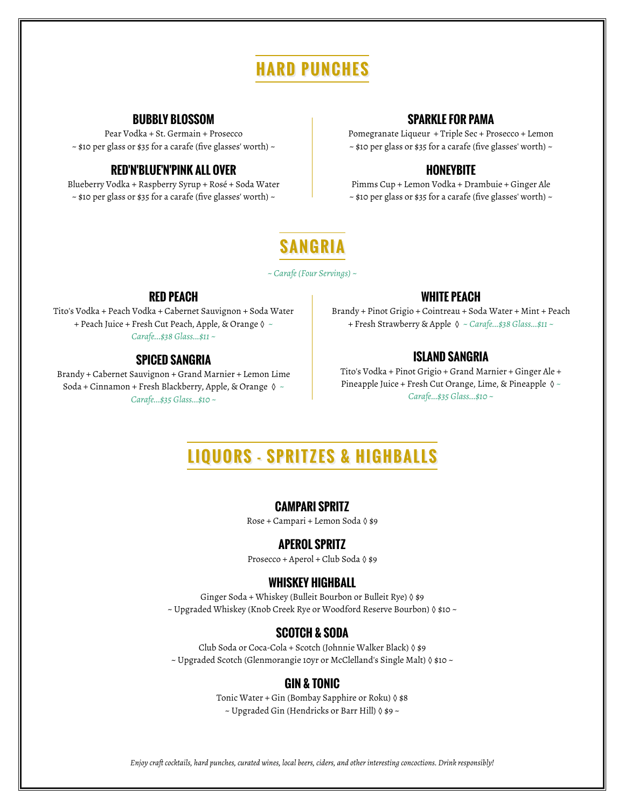## **HARD PUNCHES**

#### **BUBBLY BLOSSOM**

Pear Vodka + St. Germain + Prosecco  $\sim$  \$10 per glass or \$35 for a carafe (five glasses' worth)  $\sim$ 

#### **RED'N'BLUE'N'PINK ALL OVER**

Blueberry Vodka + Raspberry Syrup + Rosé + Soda Water  $\sim$  \$10 per glass or \$35 for a carafe (five glasses' worth)  $\sim$ 

#### **SPARKLE FOR PAMA**

Pomegranate Liqueur + Triple Sec + Prosecco + Lemon  $\sim$  \$10 per glass or \$35 for a carafe (five glasses' worth)  $\sim$ 

#### **HONEYBITE**

Pimms Cup + Lemon Vodka + Drambuie + Ginger Ale  $\sim$  \$10 per glass or \$35 for a carafe (five glasses' worth)  $\sim$ 

## **SANGRIA**

*~ Carafe (Four Servings) ~*

#### **RED PEACH**

Tito's Vodka + Peach Vodka + Cabernet Sauvignon + Soda Water + Peach Juice + Fresh Cut Peach, Apple, & Orange ◊ *~ Carafe...\$38 Glass...\$11 ~*

#### **SPICED SANGRIA**

Brandy + Cabernet Sauvignon + Grand Marnier + Lemon Lime Soda + Cinnamon + Fresh Blackberry, Apple, & Orange ◊ *~ Carafe...\$35 Glass...\$10 ~*

#### **WHITE PEACH**

Brandy + Pinot Grigio + Cointreau + Soda Water + Mint + Peach + Fresh Strawberry & Apple ◊ *~ Carafe...\$38 Glass...\$11 ~*

#### **ISLAND SANGRIA**

Tito's Vodka + Pinot Grigio + Grand Marnier + Ginger Ale + Pineapple Juice + Fresh Cut Orange, Lime, & Pineapple ◊ *~ Carafe...\$35 Glass...\$10 ~*

## **LIQUORS - SPRITZES & HIGHBALLS**

#### **CAMPARI SPRITZ**

Rose + Campari + Lemon Soda ◊ \$9

#### **APEROL SPRITZ**

Prosecco + Aperol + Club Soda ◊ \$9

#### **WHISKEY HIGHBALL**

Ginger Soda + Whiskey (Bulleit Bourbon or Bulleit Rye) ◊ \$9 ~ Upgraded Whiskey (Knob Creek Rye or Woodford Reserve Bourbon) ◊ \$10 ~

#### **SCOTCH & SODA**

Club Soda or Coca-Cola + Scotch (Johnnie Walker Black) ◊ \$9 ~ Upgraded Scotch (Glenmorangie 10yr or McClelland's Single Malt) ◊ \$10 ~

#### **GIN & TONIC**

Tonic Water + Gin (Bombay Sapphire or Roku)  $\Diamond$  \$8 ~ Upgraded Gin (Hendricks or Barr Hill) ◊ \$9 ~

*Enjoy craft cocktails, hard punches, curated wines, local beers, ciders, and other interesting concoctions. Drink responsibly!*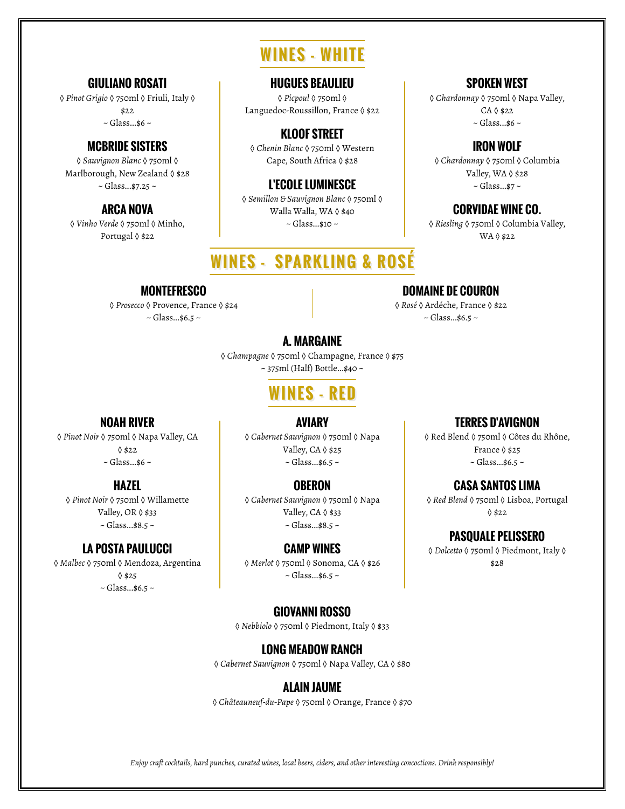## **WINES - WHITE**

### **GIULIANO ROSATI**

◊ *Pinot Grigio* ◊ 750ml ◊ Friuli, Italy ◊ \$22  $\sim$  Glass...\$6  $\sim$ 

#### **MCBRIDE SISTERS**

◊ *Sauvignon Blanc* ◊ 750ml ◊ Marlborough, New Zealand ◊ \$28  $\sim$  Glass...\$7.25  $\sim$ 

### **ARCA NOVA**

◊ *Vinho Verde* ◊ 750ml ◊ Minho, Portugal ◊ \$22

> **MONTEFRESCO** ◊ *Prosecco* ◊ Provence, France ◊ \$24  $\sim$  Glass...\$6.5  $\sim$

#### **HUGUES BEAULIEU**

◊ *Picpoul* ◊ 750ml ◊ Languedoc-Roussillon, France ◊ \$22

## **KLOOF STREET**

◊ *Chenin Blanc* ◊ 750ml ◊ Western Cape, South Africa ◊ \$28

#### **L'ECOLE LUMINESCE**

◊ *Semillon & Sauvignon Blanc* ◊ 750ml ◊ Walla Walla, WA ◊ \$40 ~ Glass...\$10 ~

## **WINES - SPARKLING & ROSÉ**

#### **SPOKEN WEST**

◊ *Chardonnay* ◊ 750ml ◊ Napa Valley, CA ◊ \$22  $\sim$  Glass...\$6  $\sim$ 

#### **IRON WOLF** ◊ *Chardonnay* ◊ 750ml ◊ Columbia

Valley, WA ◊ \$28 ~ Glass...\$7 ~

**CORVIDAE WINE CO.** ◊ *Riesling* ◊ 750ml ◊ Columbia Valley,

WA ◊ \$22

## **DOMAINE DE COURON**

◊ *Rosé* ◊ Ardéche, France ◊ \$22  $\sim$  Glass...\$6.5  $\sim$ 

## **A. MARGAINE**

◊ *Champagne* ◊ 750ml ◊ Champagne, France ◊ \$75 ~ 375ml (Half) Bottle...\$40 ~

## **WINES - RED**

#### **NOAH RIVER**

◊ *Pinot Noir* ◊ 750ml ◊ Napa Valley, CA ◊ \$22  $\sim$  Glass...\$6  $\sim$ 

### **HAZEL**

◊ *Pinot Noir* ◊ 750ml ◊ Willamette Valley, OR ◊ \$33 ~ Glass...\$8.5 ~

#### **LA POSTA PAULUCCI**

◊ *Malbec* ◊ 750ml ◊ Mendoza, Argentina  $0$ \$25  $\sim$  Glass...\$6.5  $\sim$ 

◊ *Cabernet Sauvignon* ◊ 750ml ◊ Napa Valley, CA 0 \$25  $\sim$  Glass...\$6.5  $\sim$ 

**AVIARY**

#### **OBERON**

◊ *Cabernet Sauvignon* ◊ 750ml ◊ Napa Valley, CA ( \$33 ~ Glass...\$8.5 ~

#### **CAMP WINES**

◊ *Merlot* ◊ 750ml ◊ Sonoma, CA ◊ \$26  $\sim$  Glass...\$6.5  $\sim$ 

#### **GIOVANNI ROSSO**

◊ *Nebbiolo* ◊ 750ml ◊ Piedmont, Italy ◊ \$33

### **LONG MEADOW RANCH**

◊ *Cabernet Sauvignon* ◊ 750ml ◊ Napa Valley, CA ◊ \$80

### **ALAIN JAUME**

◊ *Châteauneuf-du-Pape* ◊ 750ml ◊ Orange, France ◊ \$70

*Enjoy craft cocktails, hard punches, curated wines, local beers, ciders, and other interesting concoctions. Drink responsibly!*

## **TERRES D'AVIGNON**

◊ Red Blend ◊ 750ml ◊ Côtes du Rhône, France ◊ \$25  $\sim$  Glass...\$6.5  $\sim$ 

## **CASA SANTOS LIMA**

◊ *Red Blend* ◊ 750ml ◊ Lisboa, Portugal ◊ \$22

#### **PASQUALE PELISSERO**

◊ *Dolcetto* ◊ 750ml ◊ Piedmont, Italy ◊ \$28